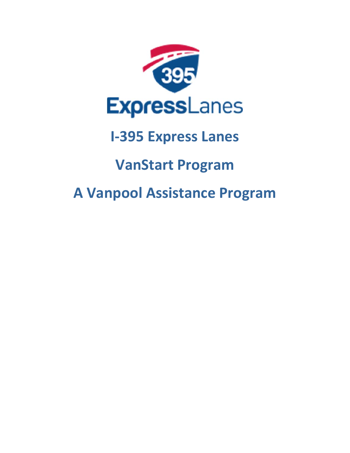

## **I‐395 Express Lanes**

## **VanStart Program**

# **A Vanpool Assistance Program**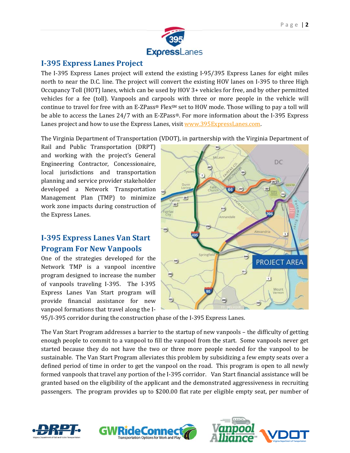

#### **I‐395 Express Lanes Project**

The I-395 Express Lanes project will extend the existing I-95/395 Express Lanes for eight miles north to near the D.C. line. The project will convert the existing HOV lanes on I-395 to three High Occupancy Toll (HOT) lanes, which can be used by HOV 3+ vehicles for free, and by other permitted vehicles for a fee (toll). Vanpools and carpools with three or more people in the vehicle will continue to travel for free with an E-ZPass® Flex $M$  set to HOV mode. Those willing to pay a toll will be able to access the Lanes  $24/7$  with an E-ZPass®. For more information about the I-395 Express Lanes project and how to use the Express Lanes, visit www.395ExpressLanes.com.

The Virginia Department of Transportation (VDOT), in partnership with the Virginia Department of

Rail and Public Transportation (DRPT) and working with the project's General Engineering Contractor, Concessionaire, local jurisdictions and transportation planning and service provider stakeholder developed a Network Transportation Management Plan (TMP) to minimize work zone impacts during construction of the Express Lanes.

### **I‐395 Express Lanes Van Start Program For New Vanpools**

One of the strategies developed for the Network TMP is a vanpool incentive program designed to increase the number of vanpools traveling I-395. The I-395 Express Lanes Van Start program will provide financial assistance for new vanpool formations that travel along the I-



95/I-395 corridor during the construction phase of the I-395 Express Lanes.

**GWRideConne** 

**Transportation Options for Work and I** 

The Van Start Program addresses a barrier to the startup of new vanpools – the difficulty of getting enough people to commit to a vanpool to fill the vanpool from the start. Some vanpools never get started because they do not have the two or three more people needed for the vanpool to be sustainable. The Van Start Program alleviates this problem by subsidizing a few empty seats over a defined period of time in order to get the vanpool on the road. This program is open to all newly formed vanpools that travel any portion of the I-395 corridor. Van Start financial assistance will be granted based on the eligibility of the applicant and the demonstrated aggressiveness in recruiting passengers. The program provides up to \$200.00 flat rate per eligible empty seat, per number of



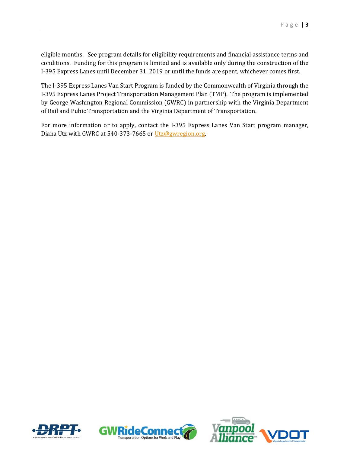eligible months. See program details for eligibility requirements and financial assistance terms and conditions. Funding for this program is limited and is available only during the construction of the I-395 Express Lanes until December 31, 2019 or until the funds are spent, whichever comes first.

The I-395 Express Lanes Van Start Program is funded by the Commonwealth of Virginia through the I-395 Express Lanes Project Transportation Management Plan (TMP). The program is implemented by George Washington Regional Commission (GWRC) in partnership with the Virginia Department of Rail and Pubic Transportation and the Virginia Department of Transportation.

For more information or to apply, contact the I-395 Express Lanes Van Start program manager, Diana Utz with GWRC at 540-373-7665 or Utz@gwregion.org.





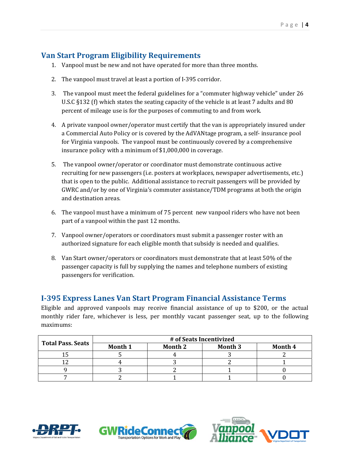#### **Van Start Program Eligibility Requirements**

- 1. Vanpool must be new and not have operated for more than three months.
- 2. The vanpool must travel at least a portion of I-395 corridor.
- 3. The vanpool must meet the federal guidelines for a "commuter highway vehicle" under 26 U.S.C §132 (f) which states the seating capacity of the vehicle is at least 7 adults and 80 percent of mileage use is for the purposes of commuting to and from work.
- 4. A private vanpool owner/operator must certify that the van is appropriately insured under a Commercial Auto Policy or is covered by the AdVANtage program, a self- insurance pool for Virginia vanpools. The vanpool must be continuously covered by a comprehensive insurance policy with a minimum of \$1,000,000 in coverage.
- 5. The vanpool owner/operator or coordinator must demonstrate continuous active recruiting for new passengers (i.e. posters at workplaces, newspaper advertisements, etc.) that is open to the public. Additional assistance to recruit passengers will be provided by GWRC and/or by one of Virginia's commuter assistance/TDM programs at both the origin and destination areas.
- 6. The vanpool must have a minimum of 75 percent new vanpool riders who have not been part of a vanpool within the past 12 months.
- 7. Vanpool owner/operators or coordinators must submit a passenger roster with an authorized signature for each eligible month that subsidy is needed and qualifies.
- 8. Van Start owner/operators or coordinators must demonstrate that at least 50% of the passenger capacity is full by supplying the names and telephone numbers of existing passengers for verification.

### **I‐395 Express Lanes Van Start Program Financial Assistance Terms**

Eligible and approved vanpools may receive financial assistance of up to \$200, or the actual monthly rider fare, whichever is less, per monthly vacant passenger seat, up to the following maximums: 

|                          | # of Seats Incentivized |         |                |         |
|--------------------------|-------------------------|---------|----------------|---------|
| <b>Total Pass. Seats</b> | Month 1                 | Month 2 | <b>Month 3</b> | Month 4 |
|                          |                         |         |                |         |
|                          |                         |         |                |         |
|                          |                         |         |                |         |
|                          |                         |         |                |         |

**GWRideConne** 



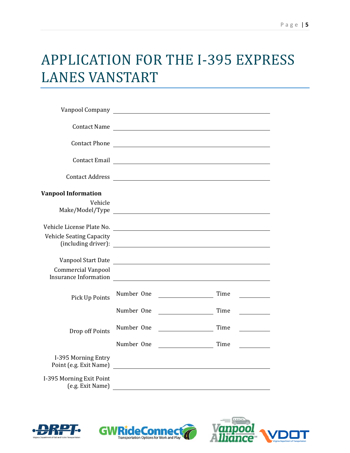### APPLICATION FOR THE I-395 EXPRESS LANES VANSTART

| <b>Contact Name</b>                                                             |            | <u> 1989 - Johann Stoff, deutscher Stoffen und der Stoffen und der Stoffen und der Stoffen und der Stoffen und der</u> |                                                                                                                      |
|---------------------------------------------------------------------------------|------------|------------------------------------------------------------------------------------------------------------------------|----------------------------------------------------------------------------------------------------------------------|
| <b>Contact Phone</b>                                                            |            |                                                                                                                        | <u> 1989 - Johann Stein, marking and de Branch and de Branch and de Branch and de Branch and de Branch and de Br</u> |
|                                                                                 |            |                                                                                                                        |                                                                                                                      |
| <b>Contact Address</b>                                                          |            |                                                                                                                        |                                                                                                                      |
| <b>Vanpool Information</b><br>Vehicle                                           |            |                                                                                                                        |                                                                                                                      |
| Vehicle License Plate No.                                                       |            | <u> 1989 - Johann Stoff, deutscher Stoffen und der Stoffen und der Stoffen und der Stoffen und der Stoffen und de</u>  |                                                                                                                      |
| <b>Vehicle Seating Capacity</b><br>(including driver):                          |            |                                                                                                                        |                                                                                                                      |
| Vanpool Start Date<br><b>Commercial Vanpool</b><br><b>Insurance Information</b> |            | <u> 1989 - Johann John Stein, markin fizik eta idazlear (</u>                                                          |                                                                                                                      |
| Pick Up Points                                                                  | Number One | <u> 1980 - Johann Barbara, martin a</u>                                                                                | Time<br><u> 1999 - John Barnett, f</u>                                                                               |
|                                                                                 | Number One |                                                                                                                        | Time                                                                                                                 |
| Drop off Points                                                                 | Number One |                                                                                                                        | Time                                                                                                                 |
|                                                                                 | Number One |                                                                                                                        | Time                                                                                                                 |
| I-395 Morning Entry<br>Point (e.g. Exit Name)                                   |            | <u> 1989 - John Stein, Amerikaansk politiker (</u>                                                                     |                                                                                                                      |
| I-395 Morning Exit Point<br>(e.g. Exit Name)                                    |            |                                                                                                                        |                                                                                                                      |

GWRideConnec

**Transportation Options for Work and Play** 



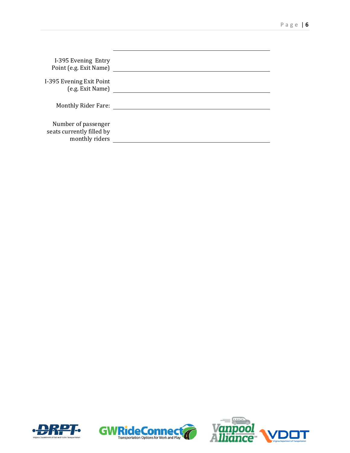| I-395 Evening Entry<br>Point (e.g. Exit Name)                      |  |
|--------------------------------------------------------------------|--|
| I-395 Evening Exit Point<br>(e.g. Exit Name)                       |  |
| <b>Monthly Rider Fare:</b>                                         |  |
| Number of passenger<br>seats currently filled by<br>monthly riders |  |





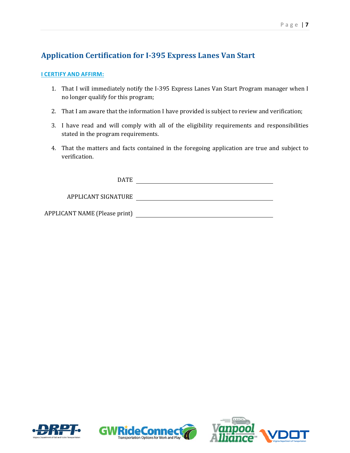### **Application Certification for I‐395 Express Lanes Van Start**

#### **I CERTIFY AND AFFIRM:**

- 1. That I will immediately notify the I-395 Express Lanes Van Start Program manager when I no longer qualify for this program;
- 2. That I am aware that the information I have provided is subject to review and verification;
- 3. I have read and will comply with all of the eligibility requirements and responsibilities stated in the program requirements.
- 4. That the matters and facts contained in the foregoing application are true and subject to verification.

DATE

APPLICANT SIGNATURE

APPLICANT NAME (Please print) 





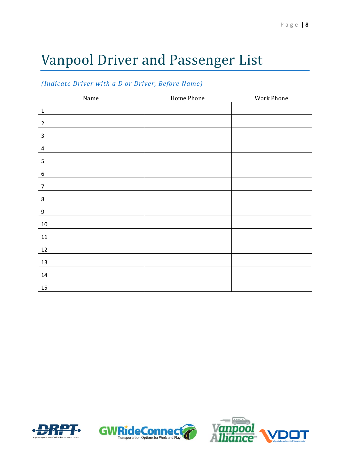# Vanpool Driver and Passenger List

#### *(Indicate Driver with a D or Driver, Before Name)*

| Name           | Home Phone | Work Phone |
|----------------|------------|------------|
| $\mathbf 1$    |            |            |
| $\overline{2}$ |            |            |
| $\mathsf 3$    |            |            |
| $\overline{4}$ |            |            |
| 5              |            |            |
| $\,$ 6 $\,$    |            |            |
| $\overline{7}$ |            |            |
| $\bf 8$        |            |            |
| 9              |            |            |
| $10\,$         |            |            |
| $11\,$         |            |            |
| $12\,$         |            |            |
| $13\,$         |            |            |
| $14\,$         |            |            |
| 15             |            |            |